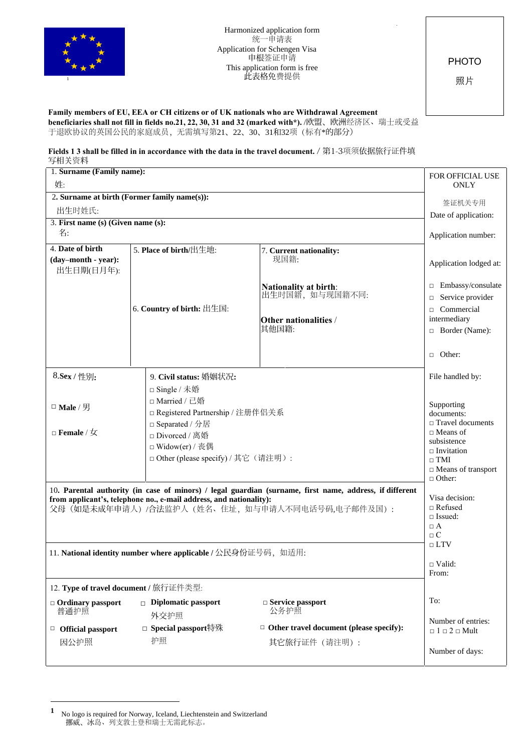

Harmonized application form 统一申请表 Application for Schengen Visa 申根签证申请 This application form is free <sup>1</sup> 此表格免费提供

PHOTO

照片

## **Family members of EU, EEA or CH citizens or of UK nationals who are Withdrawal Agreement**

**beneficiaries shall not fill in fields no.21, 22, 30, 31 and 32 (marked with\*).** /欧盟、欧洲经济区、瑞士或受益 于退欧协议的英国公民的家庭成员, 无需填写第21、22、30、31和32项(标有\*的部分)

## **Fields 1 3 shall be filled in in accordance with the data in the travel document.** / 第1-3项须依据旅行证件填 写相关资料

| 1. Surname (Family name):                                     |                      |                                                                    |                                                                                                         | FOR OFFICIAL USE                                    |
|---------------------------------------------------------------|----------------------|--------------------------------------------------------------------|---------------------------------------------------------------------------------------------------------|-----------------------------------------------------|
| 姓:                                                            | <b>ONLY</b>          |                                                                    |                                                                                                         |                                                     |
| 2. Surname at birth (Former family name(s)):                  | 签证机关专用               |                                                                    |                                                                                                         |                                                     |
| 出生时姓氏:                                                        | Date of application: |                                                                    |                                                                                                         |                                                     |
| 3. First name (s) (Given name (s):                            |                      |                                                                    |                                                                                                         |                                                     |
| 名:                                                            |                      |                                                                    |                                                                                                         | Application number:                                 |
| 4. Date of birth                                              |                      | 5. Place of birth/出生地:                                             | 7. Current nationality:                                                                                 |                                                     |
| (day-month - year):                                           |                      |                                                                    | 现国籍:                                                                                                    | Application lodged at:                              |
| 出生日期(日月年):                                                    |                      |                                                                    |                                                                                                         |                                                     |
|                                                               |                      |                                                                    | <b>Nationality at birth:</b>                                                                            | □ Embassy/consulate                                 |
|                                                               |                      |                                                                    | 出生时国籍, 如与现国籍不同:                                                                                         | Service provider<br>$\Box$                          |
|                                                               |                      | 6. Country of birth: 出生国:                                          |                                                                                                         | Commercial<br>$\Box$<br>intermediary                |
|                                                               |                      |                                                                    | Other nationalities /<br>其他国籍:                                                                          | $\Box$ Border (Name):                               |
|                                                               |                      |                                                                    |                                                                                                         |                                                     |
|                                                               |                      |                                                                    |                                                                                                         | $\Box$ Other:                                       |
|                                                               |                      |                                                                    |                                                                                                         |                                                     |
| 8.Sex / 性别:                                                   |                      | 9. Civil status: 婚姻状况:                                             |                                                                                                         | File handled by:                                    |
|                                                               |                      | □ Single / 未婚                                                      |                                                                                                         |                                                     |
| □ Male / 男                                                    |                      | □ Married / 已婚                                                     |                                                                                                         | Supporting                                          |
|                                                               |                      | □ Registered Partnership / 注册伴侣关系                                  |                                                                                                         | documents:                                          |
|                                                               |                      | □ Separated / 分居                                                   |                                                                                                         | $\hfill\Box$<br>Travel documents<br>$\Box$ Means of |
|                                                               |                      | □ Divorced / 离婚<br>□ Widow(er) / 丧偶                                |                                                                                                         | subsistence                                         |
|                                                               |                      | □ Other (please specify) / 其它(请注明):                                |                                                                                                         | $\Box$ Invitation                                   |
|                                                               |                      |                                                                    |                                                                                                         | $\Box$ TMI<br>□ Means of transport                  |
|                                                               |                      |                                                                    |                                                                                                         | $\Box$ Other:                                       |
|                                                               |                      |                                                                    | 10. Parental authority (in case of minors) / legal guardian (surname, first name, address, if different |                                                     |
|                                                               |                      | from applicant's, telephone no., e-mail address, and nationality): |                                                                                                         | Visa decision:<br>$\Box$ Refused                    |
|                                                               |                      |                                                                    | 父母(如是未成年申请人)/合法监护人(姓名、住址,如与申请人不同电话号码,电子邮件及国):                                                           | $\Box$ Issued:                                      |
|                                                               |                      |                                                                    |                                                                                                         | $\Box$ A                                            |
|                                                               |                      |                                                                    |                                                                                                         | $\Box$ C                                            |
| 11. National identity number where applicable / 公民身份证号码, 如适用: | $\sqcap$ LTV         |                                                                    |                                                                                                         |                                                     |
|                                                               |                      |                                                                    |                                                                                                         | $\Box$ Valid:                                       |
|                                                               |                      |                                                                    |                                                                                                         | From:                                               |
| 12. Type of travel document / 旅行证件类型:                         |                      |                                                                    |                                                                                                         |                                                     |
| $\Box$ Ordinary passport                                      |                      | $\Box$ Diplomatic passport                                         | $\Box$ Service passport                                                                                 | To:                                                 |
| 普通护照                                                          |                      | 外交护照                                                               | 公务护照                                                                                                    | Number of entries:                                  |
| □ Official passport                                           |                      | □ Special passport特殊                                               | $\Box$ Other travel document (please specify):                                                          | $\Box$ 1 $\Box$ 2 $\Box$ Mult                       |
| 因公护照                                                          |                      | 护照                                                                 | 其它旅行证件 (请注明):                                                                                           |                                                     |
|                                                               |                      |                                                                    |                                                                                                         | Number of days:                                     |

**<sup>1</sup>** No logo is required for Norway, Iceland, Liechtenstein and Switzerland 挪威、冰岛、列支敦士登和瑞士无需此标志。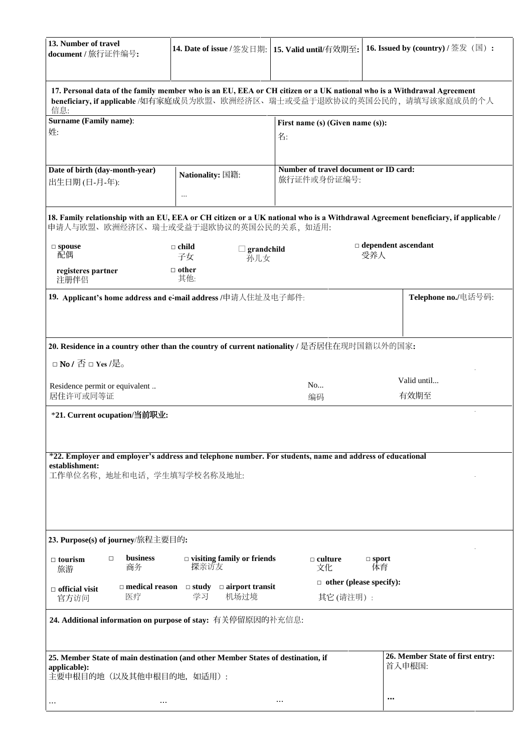| 13. Number of travel<br>document / 旅行证件编号:                                                                                                                                                                | 14. Date of issue / 签发日期:   15. Valid until/有效期至:                     |                                                      | 16. Issued by $\left($ country $\right)$ / 签发 $\left( \mathbb{E}\right)$ :                                                        |  |  |  |  |
|-----------------------------------------------------------------------------------------------------------------------------------------------------------------------------------------------------------|-----------------------------------------------------------------------|------------------------------------------------------|-----------------------------------------------------------------------------------------------------------------------------------|--|--|--|--|
| 17. Personal data of the family member who is an EU, EEA or CH citizen or a UK national who is a Withdrawal Agreement<br>beneficiary, if applicable /如有家庭成员为欧盟、欧洲经济区、瑞士或受益于退欧协议的英国公民的, 请填写该家庭成员的个人<br>信息: |                                                                       |                                                      |                                                                                                                                   |  |  |  |  |
| <b>Surname (Family name):</b><br>姓:                                                                                                                                                                       |                                                                       | First name (s) (Given name (s)):<br>名:               |                                                                                                                                   |  |  |  |  |
| Date of birth (day-month-year)<br>出生日期 (日-月-年):                                                                                                                                                           | Nationality: 国籍:<br>$\cdots$                                          | Number of travel document or ID card:<br>旅行证件或身份证编号: |                                                                                                                                   |  |  |  |  |
| 申请人与欧盟、欧洲经济区、瑞士或受益于退欧协议的英国公民的关系, 如适用:                                                                                                                                                                     |                                                                       |                                                      | 18. Family relationship with an EU, EEA or CH citizen or a UK national who is a Withdrawal Agreement beneficiary, if applicable / |  |  |  |  |
| $\square$ spouse<br>配偶<br>registeres partner                                                                                                                                                              | $\Box$ child<br>$\Box$ grandchild<br>子女<br>孙儿女<br>$\Box$ other<br>其他: |                                                      | $\Box$ dependent ascendant<br>受养人                                                                                                 |  |  |  |  |
| 注册伴侣<br>19. Applicant's home address and e-mail address /申请人住址及电子邮件:                                                                                                                                      |                                                                       |                                                      | Telephone no./电话号码:                                                                                                               |  |  |  |  |
| 20. Residence in a country other than the country of current nationality / 是否居住在现时国籍以外的国家:                                                                                                                |                                                                       |                                                      |                                                                                                                                   |  |  |  |  |
| □ No / 否 □ Yes /是。                                                                                                                                                                                        |                                                                       |                                                      |                                                                                                                                   |  |  |  |  |
| Residence permit or equivalent<br>居住许可或同等证                                                                                                                                                                |                                                                       | No<br>编码                                             | Valid until<br>有效期至                                                                                                               |  |  |  |  |
| *21. Current ocupation/当前职业:                                                                                                                                                                              |                                                                       |                                                      |                                                                                                                                   |  |  |  |  |
| *22. Employer and employer's address and telephone number. For students, name and address of educational<br>establishment:<br>工作单位名称, 地址和电话, 学生填写学校名称及地址:                                                 |                                                                       |                                                      |                                                                                                                                   |  |  |  |  |
| 23. Purpose(s) of journey/旅程主要目的:                                                                                                                                                                         |                                                                       |                                                      |                                                                                                                                   |  |  |  |  |
| business<br>$\Box$<br>$\Box$ tourism<br>商务<br>旅游                                                                                                                                                          | $\Box$ visiting family or friends<br>探亲访友                             | $\Box$ culture<br>文化                                 | $\square$ sport<br>体育                                                                                                             |  |  |  |  |
| $\Box$ medical reason $\Box$ study<br>$\Box$ official visit<br>医疗<br>官方访问                                                                                                                                 | $\Box$ airport transit<br>学习<br>机场过境                                  | $\Box$ other (please specify):<br>其它(请注明):           |                                                                                                                                   |  |  |  |  |
| 24. Additional information on purpose of stay: 有关停留原因的补充信息:                                                                                                                                               |                                                                       |                                                      |                                                                                                                                   |  |  |  |  |
| 25. Member State of main destination (and other Member States of destination, if<br>applicable):<br>主要申根目的地(以及其他申根目的地,如适用):                                                                               |                                                                       |                                                      | 26. Member State of first entry:<br>首入申根国:                                                                                        |  |  |  |  |
| $\cdots$<br>$\cdots$                                                                                                                                                                                      |                                                                       | $\cdots$                                             | ,,,                                                                                                                               |  |  |  |  |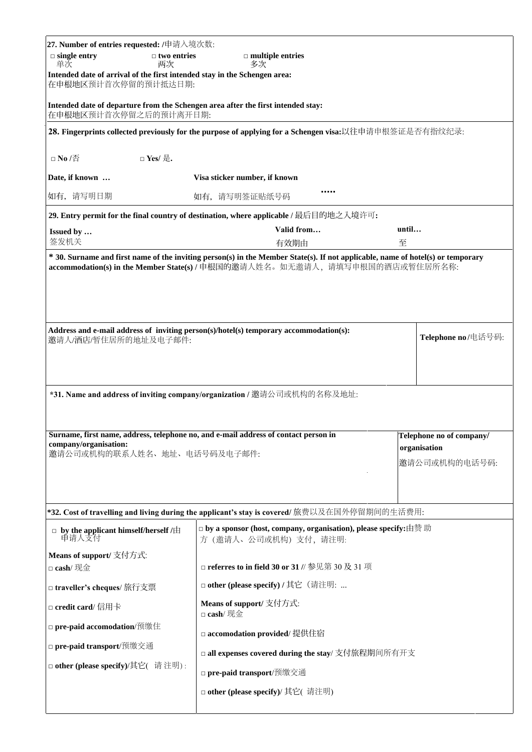| $\Box$ single entry<br>$\Box$ two entries<br>$\Box$ multiple entries<br>单次<br>两次<br>多次<br>Intended date of arrival of the first intended stay in the Schengen area:<br>在申根地区预计首次停留的预计抵达日期:<br>Intended date of departure from the Schengen area after the first intended stay:<br>在申根地区预计首次停留之后的预计离开日期:<br>28. Fingerprints collected previously for the purpose of applying for a Schengen visa:以往申请申根签证是否有指纹纪录:<br>□ No /否<br>□ Yes/ 是.<br>Date, if known<br>Visa sticker number, if known<br>如有, 请写明日期<br>如有, 请写明签证贴纸号码<br>29. Entry permit for the final country of destination, where applicable / 最后目的地之入境许可:<br>Valid from<br>until<br>Issued by<br>签发机关<br>至<br>有效期由<br>* 30. Surname and first name of the inviting person(s) in the Member State(s). If not applicable, name of hotel(s) or temporary<br>accommodation(s) in the Member State(s) / 申根国的邀请人姓名。如无邀请人, 请填写申根国的酒店或暂住居所名称:<br>Address and e-mail address of inviting person(s)/hotel(s) temporary accommodation(s):<br>Telephone no/电话号码:<br>邀请人/酒店/暂住居所的地址及电子邮件: |  |  |  |  |  |  |
|----------------------------------------------------------------------------------------------------------------------------------------------------------------------------------------------------------------------------------------------------------------------------------------------------------------------------------------------------------------------------------------------------------------------------------------------------------------------------------------------------------------------------------------------------------------------------------------------------------------------------------------------------------------------------------------------------------------------------------------------------------------------------------------------------------------------------------------------------------------------------------------------------------------------------------------------------------------------------------------------------------------------------------------|--|--|--|--|--|--|
|                                                                                                                                                                                                                                                                                                                                                                                                                                                                                                                                                                                                                                                                                                                                                                                                                                                                                                                                                                                                                                        |  |  |  |  |  |  |
|                                                                                                                                                                                                                                                                                                                                                                                                                                                                                                                                                                                                                                                                                                                                                                                                                                                                                                                                                                                                                                        |  |  |  |  |  |  |
|                                                                                                                                                                                                                                                                                                                                                                                                                                                                                                                                                                                                                                                                                                                                                                                                                                                                                                                                                                                                                                        |  |  |  |  |  |  |
|                                                                                                                                                                                                                                                                                                                                                                                                                                                                                                                                                                                                                                                                                                                                                                                                                                                                                                                                                                                                                                        |  |  |  |  |  |  |
|                                                                                                                                                                                                                                                                                                                                                                                                                                                                                                                                                                                                                                                                                                                                                                                                                                                                                                                                                                                                                                        |  |  |  |  |  |  |
|                                                                                                                                                                                                                                                                                                                                                                                                                                                                                                                                                                                                                                                                                                                                                                                                                                                                                                                                                                                                                                        |  |  |  |  |  |  |
|                                                                                                                                                                                                                                                                                                                                                                                                                                                                                                                                                                                                                                                                                                                                                                                                                                                                                                                                                                                                                                        |  |  |  |  |  |  |
|                                                                                                                                                                                                                                                                                                                                                                                                                                                                                                                                                                                                                                                                                                                                                                                                                                                                                                                                                                                                                                        |  |  |  |  |  |  |
|                                                                                                                                                                                                                                                                                                                                                                                                                                                                                                                                                                                                                                                                                                                                                                                                                                                                                                                                                                                                                                        |  |  |  |  |  |  |
|                                                                                                                                                                                                                                                                                                                                                                                                                                                                                                                                                                                                                                                                                                                                                                                                                                                                                                                                                                                                                                        |  |  |  |  |  |  |
|                                                                                                                                                                                                                                                                                                                                                                                                                                                                                                                                                                                                                                                                                                                                                                                                                                                                                                                                                                                                                                        |  |  |  |  |  |  |
|                                                                                                                                                                                                                                                                                                                                                                                                                                                                                                                                                                                                                                                                                                                                                                                                                                                                                                                                                                                                                                        |  |  |  |  |  |  |
| *31. Name and address of inviting company/organization / 邀请公司或机构的名称及地址:                                                                                                                                                                                                                                                                                                                                                                                                                                                                                                                                                                                                                                                                                                                                                                                                                                                                                                                                                                |  |  |  |  |  |  |
| Surname, first name, address, telephone no, and e-mail address of contact person in<br>Telephone no of company/<br>company/organisation:<br>organisation<br>邀请公司或机构的联系人姓名、地址、电话号码及电子邮件:<br>邀请公司或机构的电话号码:                                                                                                                                                                                                                                                                                                                                                                                                                                                                                                                                                                                                                                                                                                                                                                                                                               |  |  |  |  |  |  |
| *32. Cost of travelling and living during the applicant's stay is covered/ 旅费以及在国外停留期间的生活费用:                                                                                                                                                                                                                                                                                                                                                                                                                                                                                                                                                                                                                                                                                                                                                                                                                                                                                                                                           |  |  |  |  |  |  |
| $\Box$ by a sponsor (host, company, organisation), please specify:由赞 助<br>□ by the applicant himself/herself /由<br>申请人支付<br>方(邀请人、公司或机构)支付,请注明:                                                                                                                                                                                                                                                                                                                                                                                                                                                                                                                                                                                                                                                                                                                                                                                                                                                                                        |  |  |  |  |  |  |
| Means of support/ 支付方式:<br>□ referres to in field 30 or 31 // 参见第 30 及 31 项<br>□ cash/ 现金                                                                                                                                                                                                                                                                                                                                                                                                                                                                                                                                                                                                                                                                                                                                                                                                                                                                                                                                              |  |  |  |  |  |  |
| □ other (please specify) / 其它 (请注明:<br>□ traveller's cheques/ 旅行支票                                                                                                                                                                                                                                                                                                                                                                                                                                                                                                                                                                                                                                                                                                                                                                                                                                                                                                                                                                     |  |  |  |  |  |  |
| Means of support/ 支付方式:<br>□ credit card/ 信用卡<br>□ cash/ 现金                                                                                                                                                                                                                                                                                                                                                                                                                                                                                                                                                                                                                                                                                                                                                                                                                                                                                                                                                                            |  |  |  |  |  |  |
| □ pre-paid accomodation/预缴住<br>□ accomodation provided/ 提供住宿                                                                                                                                                                                                                                                                                                                                                                                                                                                                                                                                                                                                                                                                                                                                                                                                                                                                                                                                                                           |  |  |  |  |  |  |
| □ pre-paid transport/预缴交通<br>□ all expenses covered during the stay/ 支付旅程期间所有开支                                                                                                                                                                                                                                                                                                                                                                                                                                                                                                                                                                                                                                                                                                                                                                                                                                                                                                                                                        |  |  |  |  |  |  |
| □ other (please specify)/其它( 请注明):<br>□ pre-paid transport/预缴交通                                                                                                                                                                                                                                                                                                                                                                                                                                                                                                                                                                                                                                                                                                                                                                                                                                                                                                                                                                        |  |  |  |  |  |  |
| □ other (please specify)/ 其它( 请注明)                                                                                                                                                                                                                                                                                                                                                                                                                                                                                                                                                                                                                                                                                                                                                                                                                                                                                                                                                                                                     |  |  |  |  |  |  |